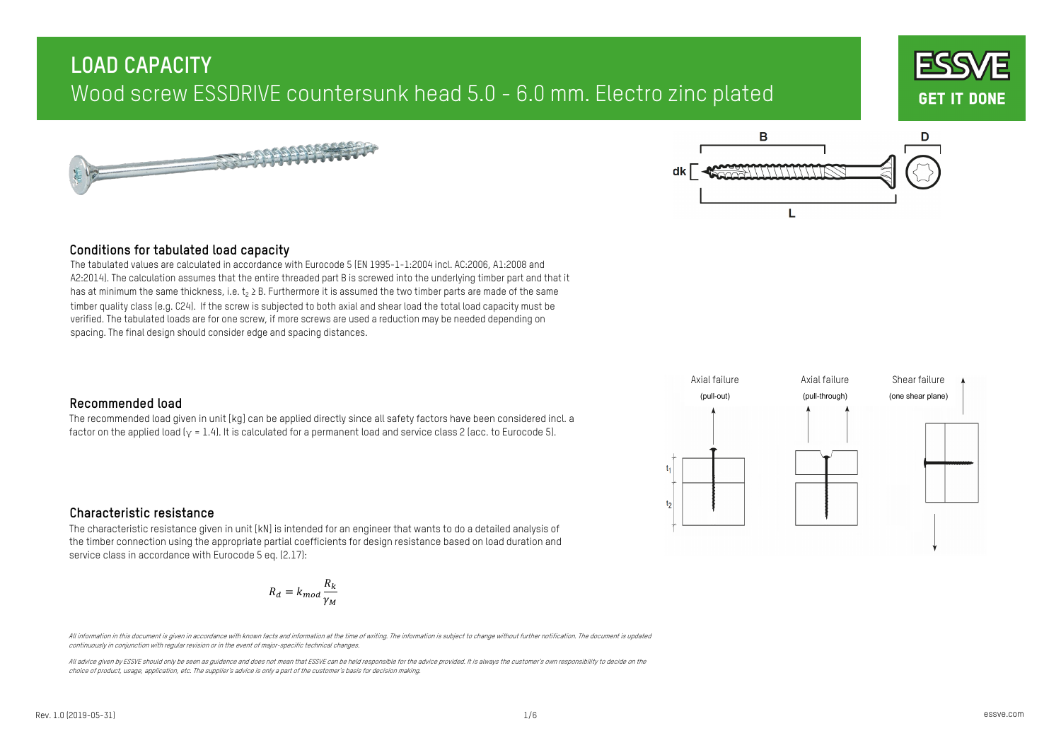





### **Conditions for tabulated load capacity**

The tabulated values are calculated in accordance with Eurocode 5 (EN 1995-1-1:2004 incl. AC:2006, A1:2008 and A2:2014). The calculation assumes that the entire threaded part B is screwed into the underlying timber part and that it has at minimum the same thickness, i.e.  $t_2 \geq B$ . Furthermore it is assumed the two timber parts are made of the same timber quality class (e.g. C24). If the screw is subjected to both axial and shear load the total load capacity must be verified. The tabulated loads are for one screw, if more screws are used a reduction may be needed depending on spacing. The final design should consider edge and spacing distances.

## **Recommended load**

The recommended load given in unit [kg] can be applied directly since all safety factors have been considered incl. a factor on the applied load  $(y = 1.4)$ . It is calculated for a permanent load and service class 2 (acc. to Eurocode 5).



## **Characteristic resistance**

The characteristic resistance given in unit [kN] is intended for an engineer that wants to do a detailed analysis of the timber connection using the appropriate partial coefficients for design resistance based on load duration and service class in accordance with Eurocode 5 eq. (2.17):

$$
R_d = k_{mod} \frac{R_k}{\gamma_M}
$$

All information in this document is given in accordance with known facts and information at the time of writing. The information is subject to change without further notification. The document is updated continuously in conjunction with regular revision or in the event of major-specific technical changes.

All advice given by ESSVE should only be seen as quidence and does not mean that ESSVE can be held responsibile for the advice provided. It is always the customer's own responsibility to decide on the choice of product, usage, application, etc. The supplier's advice is only a part of the customer's basis for decision making.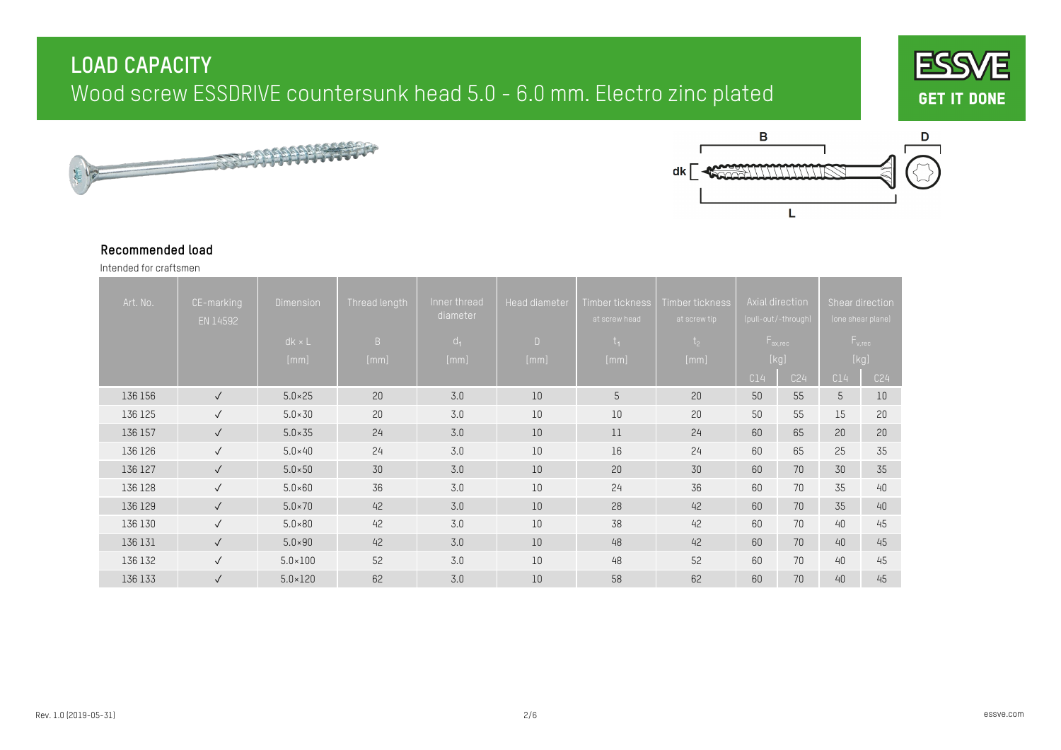





#### **Recommended load**

Intended for craftsmen

| Art. No. | CE-marking<br>EN 14592 | <b>Dimension</b><br>$dk \times L$<br>[mm] | Thread length<br>B<br>[mm] | Inner thread<br>diameter<br>$d_1$<br>[mm] | Head diameter<br>$\mathsf{D}$<br>[mm] | Timber tickness<br>at screw head<br>$t_{1}$<br>[mm] | Timber tickness<br>at screw tip<br>t <sub>2</sub><br>[mm] |     | Axial direction<br>(pull-out/-through)<br>$F_{ax,rec}$<br>[kg] |     | Shear direction<br>(one shear plane)<br>$F_{v,rec}$<br>$[kg] % \begin{center} % \includegraphics[width=\linewidth]{imagesSupplemental/Imetad-Architecture.png} % \end{center} % \caption { % \textit{DefNet} of the \textit{DefNet} (MSE) and the \textit{DefNet} (MSE) and the \textit{DefNet} (MSE) and the \textit{DefNet} (MSE) and the \textit{DefNet} (MSE) and the \textit{DefNet} (MSE) and the \textit{DefNet} (MSE) and the \textit{DefNet} (MSE) and the \textit{DefNet} (MSE) and the \textit{DefNet} (MSE) and the \textit{DefNet} (MSE) and the \textit{DefNet} (MSE) and the \textit{DefNet} (MSE) and the$ |
|----------|------------------------|-------------------------------------------|----------------------------|-------------------------------------------|---------------------------------------|-----------------------------------------------------|-----------------------------------------------------------|-----|----------------------------------------------------------------|-----|----------------------------------------------------------------------------------------------------------------------------------------------------------------------------------------------------------------------------------------------------------------------------------------------------------------------------------------------------------------------------------------------------------------------------------------------------------------------------------------------------------------------------------------------------------------------------------------------------------------------------|
|          |                        |                                           |                            |                                           |                                       |                                                     |                                                           | C14 | C24                                                            | C14 | C <sub>24</sub>                                                                                                                                                                                                                                                                                                                                                                                                                                                                                                                                                                                                            |
| 136 156  | $\sqrt{ }$             | $5.0 \times 25$                           | 20                         | 3.0                                       | 10                                    | 5                                                   | 20                                                        | 50  | 55                                                             | 5   | 10                                                                                                                                                                                                                                                                                                                                                                                                                                                                                                                                                                                                                         |
| 136 125  | $\sqrt{ }$             | $5.0 \times 30$                           | 20                         | 3.0                                       | $10\,$                                | $10\,$                                              | 20                                                        | 50  | 55                                                             | 15  | 20                                                                                                                                                                                                                                                                                                                                                                                                                                                                                                                                                                                                                         |
| 136 157  | $\checkmark$           | $5.0 \times 35$                           | 24                         | 3.0                                       | 10                                    | 11                                                  | 24                                                        | 60  | 65                                                             | 20  | 20                                                                                                                                                                                                                                                                                                                                                                                                                                                                                                                                                                                                                         |
| 136 126  | $\checkmark$           | $5.0\times40$                             | 24                         | 3.0                                       | 10                                    | 16                                                  | 24                                                        | 60  | 65                                                             | 25  | 35                                                                                                                                                                                                                                                                                                                                                                                                                                                                                                                                                                                                                         |
| 136 127  | $\sqrt{ }$             | $5.0 \times 50$                           | 30                         | 3.0                                       | 10                                    | 20                                                  | 30                                                        | 60  | 70                                                             | 30  | 35                                                                                                                                                                                                                                                                                                                                                                                                                                                                                                                                                                                                                         |
| 136 128  | $\sqrt{ }$             | $5.0 \times 60$                           | 36                         | 3.0                                       | 10                                    | 24                                                  | 36                                                        | 60  | 70                                                             | 35  | 40                                                                                                                                                                                                                                                                                                                                                                                                                                                                                                                                                                                                                         |
| 136 129  | $\checkmark$           | $5.0 \times 70$                           | 42                         | 3.0                                       | 10                                    | 28                                                  | 42                                                        | 60  | 70                                                             | 35  | 40                                                                                                                                                                                                                                                                                                                                                                                                                                                                                                                                                                                                                         |
| 136 130  | $\sqrt{ }$             | $5.0 \times 80$                           | 42                         | 3.0                                       | 10                                    | 38                                                  | 42                                                        | 60  | 70                                                             | 40  | 45                                                                                                                                                                                                                                                                                                                                                                                                                                                                                                                                                                                                                         |
| 136 131  | $\checkmark$           | $5.0 \times 90$                           | 42                         | 3.0                                       | 10                                    | 48                                                  | 42                                                        | 60  | 70                                                             | 40  | 45                                                                                                                                                                                                                                                                                                                                                                                                                                                                                                                                                                                                                         |
| 136 132  | $\sqrt{ }$             | $5.0 \times 100$                          | 52                         | 3.0                                       | 10                                    | 48                                                  | 52                                                        | 60  | 70                                                             | 40  | 45                                                                                                                                                                                                                                                                                                                                                                                                                                                                                                                                                                                                                         |
| 136 133  | $\checkmark$           | $5.0 \times 120$                          | 62                         | 3.0                                       | $10\,$                                | 58                                                  | 62                                                        | 60  | 70                                                             | 40  | 45                                                                                                                                                                                                                                                                                                                                                                                                                                                                                                                                                                                                                         |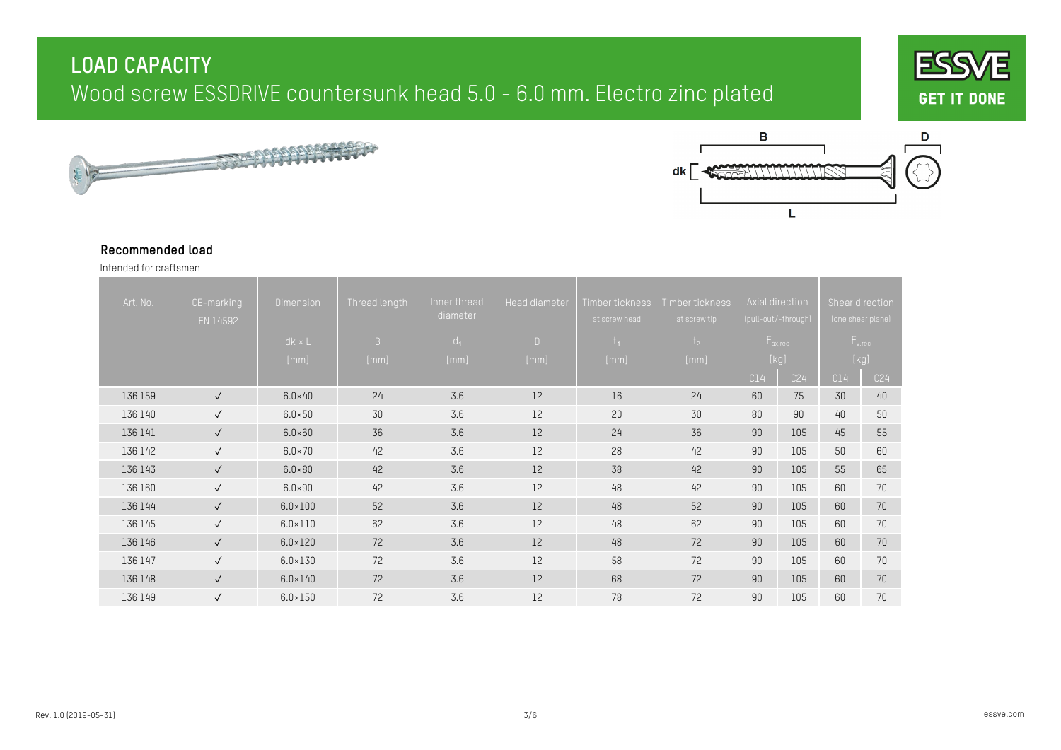





#### **Recommended load**

Intended for craftsmen

| Art. No. | CE-marking<br>EN 14592 | <b>Dimension</b> | Thread length | Inner thread<br>diameter | <b>Head diameter</b> | Timber tickness<br>at screw head | Timber tickness<br>at screw tip |     | Axial direction,<br>(pull-out/-through) | Shear direction | (one shear plane) |
|----------|------------------------|------------------|---------------|--------------------------|----------------------|----------------------------------|---------------------------------|-----|-----------------------------------------|-----------------|-------------------|
|          |                        | $dk \times L$    | B             | $d_1$                    | $\Box$               | $t_{1}$                          | t <sub>2</sub>                  |     | $F_{ax,rec}$                            |                 | $F_{v,rec}$       |
|          |                        | [mm]             | [mm]          | [mm]                     | [mm]                 | [mm]                             | [mm]                            |     | [kg]                                    |                 | [kg]              |
|          |                        |                  |               |                          |                      |                                  |                                 | C14 | C24                                     | C14             | C <sub>24</sub>   |
| 136 159  | $\checkmark$           | $6.0\times40$    | 24            | 3.6                      | 12                   | 16                               | 24                              | 60  | 75                                      | 30              | 40                |
| 136 140  | $\checkmark$           | $6.0 \times 50$  | 30            | 3.6                      | 12                   | 20                               | 30                              | 80  | 90                                      | 40              | 50                |
| 136 141  | $\checkmark$           | $6.0 \times 60$  | 36            | 3.6                      | 12                   | 24                               | 36                              | 90  | 105                                     | 45              | 55                |
| 136 142  | $\sqrt{ }$             | $6.0 \times 70$  | 42            | 3.6                      | 12                   | 28                               | 42                              | 90  | 105                                     | 50              | 60                |
| 136 143  | $\checkmark$           | $6.0 \times 80$  | 42            | 3.6                      | 12                   | 38                               | 42                              | 90  | 105                                     | 55              | 65                |
| 136 160  | $\checkmark$           | $6.0 \times 90$  | 42            | 3.6                      | 12                   | 48                               | 42                              | 90  | 105                                     | 60              | 70                |
| 136 144  | $\checkmark$           | $6.0 \times 100$ | 52            | 3.6                      | 12                   | 48                               | 52                              | 90  | 105                                     | 60              | 70                |
| 136 145  | $\checkmark$           | $6.0 \times 110$ | 62            | 3.6                      | 12                   | 48                               | 62                              | 90  | 105                                     | 60              | 70                |
| 136 146  | $\sqrt{}$              | $6.0 \times 120$ | 72            | 3.6                      | 12                   | 48                               | 72                              | 90  | 105                                     | 60              | $70$              |
| 136 147  | $\sqrt{ }$             | $6.0 \times 130$ | 72            | 3.6                      | 12                   | 58                               | 72                              | 90  | 105                                     | 60              | 70                |
| 136 148  | $\checkmark$           | $6.0 \times 140$ | 72            | 3.6                      | 12                   | 68                               | 72                              | 90  | 105                                     | 60              | 70                |
| 136 149  | $\checkmark$           | $6.0 \times 150$ | 72            | 3.6                      | 12                   | 78                               | 72                              | 90  | 105                                     | 60              | 70                |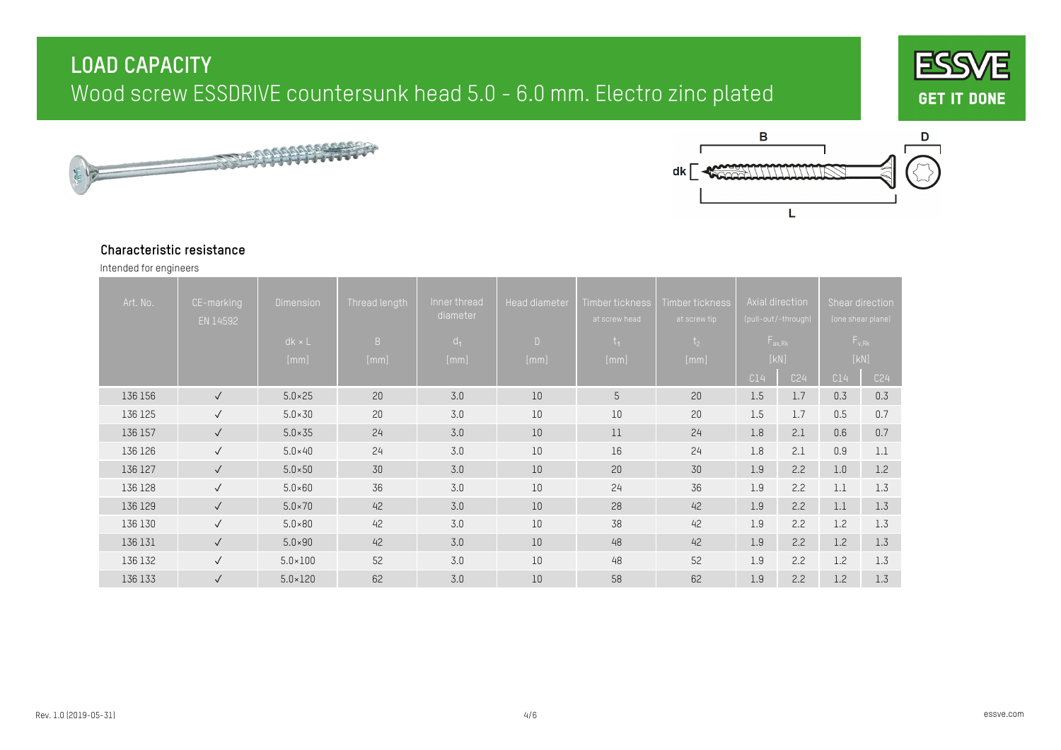





#### **Characteristic resistance**

Intended for engineers

| Art. No. | CE-marking<br>EN 14592 | <b>Dimension</b><br>$dk \times L$ | Thread length<br>B | Inner thread<br>diameter<br>$d_1$ | Head diameter<br>$\Box$ | Timber tickness<br>at screw head<br>$t_{1}$ | Timber tickness<br>at screw tip<br>t <sub>2</sub> |     | Axial direction<br>(pull-out/-through)<br>$F_{ax, Rk}$ |     | Shear direction<br>(one shear plane)<br>$F_{v, Rk}$ |
|----------|------------------------|-----------------------------------|--------------------|-----------------------------------|-------------------------|---------------------------------------------|---------------------------------------------------|-----|--------------------------------------------------------|-----|-----------------------------------------------------|
|          |                        | [mm]                              | [mm]               | [mm]                              | [mm]                    | [mm]                                        | [mm]                                              | C14 | [KN]<br>C24                                            | C14 | [KN]<br>C <sub>24</sub>                             |
| 136 156  | $\checkmark$           | $5.0 \times 25$                   | 20                 | 3.0                               | 10                      | 5                                           | 20                                                | 1.5 | 1.7                                                    | 0.3 | 0.3                                                 |
| 136 125  | $\checkmark$           | $5.0 \times 30$                   | 20                 | 3.0                               | 10                      | 10                                          | 20                                                | 1.5 | 1.7                                                    | 0.5 | 0.7                                                 |
| 136 157  | $\checkmark$           | $5.0 \times 35$                   | 24                 | 3.0                               | 10                      | 11                                          | 24                                                | 1.8 | 2.1                                                    | 0.6 | 0.7                                                 |
| 136 126  | $\checkmark$           | $5.0\times40$                     | 24                 | 3.0                               | 10                      | 16                                          | 24                                                | 1.8 | 2.1                                                    | 0.9 | 1.1                                                 |
| 136 127  | $\sqrt{ }$             | $5.0 \times 50$                   | 30                 | 3.0                               | 10                      | 20                                          | 30                                                | 1.9 | 2.2                                                    | 1.0 | 1.2                                                 |
| 136 128  | $\checkmark$           | $5.0\times60$                     | 36                 | 3.0                               | 10                      | 24                                          | 36                                                | 1.9 | 2.2                                                    | 1.1 | 1.3                                                 |
| 136 129  | $\sqrt{ }$             | $5.0 \times 70$                   | 42                 | 3.0                               | 10                      | 28                                          | 42                                                | 1.9 | 2.2                                                    | 1.1 | 1.3                                                 |
| 136 130  | $\sqrt{ }$             | $5.0 \times 80$                   | 42                 | 3.0                               | 10                      | 38                                          | 42                                                | 1.9 | 2.2                                                    | 1.2 | 1.3                                                 |
| 136 131  | $\sqrt{ }$             | $5.0 \times 90$                   | 42                 | 3.0                               | $10\,$                  | 48                                          | 42                                                | 1.9 | 2.2                                                    | 1.2 | 1.3                                                 |
| 136 132  | $\sqrt{ }$             | $5.0 \times 100$                  | 52                 | 3.0                               | 10                      | 48                                          | 52                                                | 1.9 | 2.2                                                    | 1.2 | 1.3                                                 |
| 136 133  | $\checkmark$           | $5.0 \times 120$                  | 62                 | 3.0                               | 10                      | 58                                          | 62                                                | 1.9 | 2.2                                                    | 1.2 | 1.3                                                 |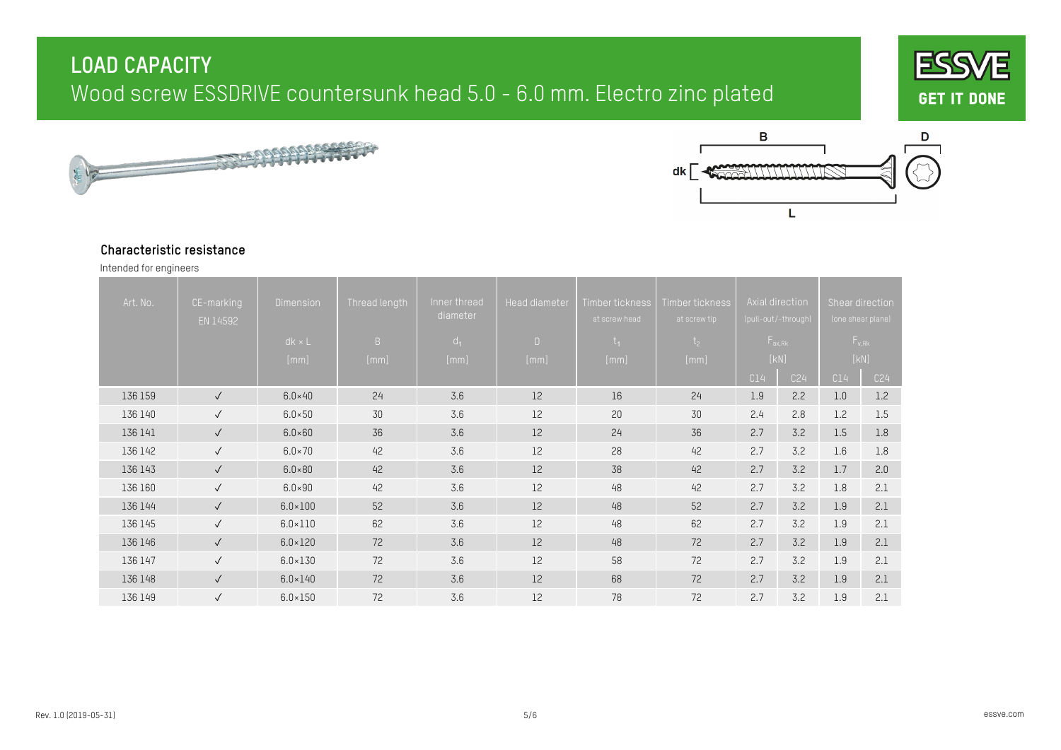





#### **Characteristic resistance**

Intended for engineers

| Art. No. | CE-marking<br>EN 14592 | <b>Dimension</b> | Thread length | Inner thread<br>diameter | <b>Head diameter</b> | Timber tickness<br>at screw head | Timber tickness<br>at screw tip |      | Axial direction<br>(pull-out/-through) |     | Shear direction<br>(one shear plane) |  |
|----------|------------------------|------------------|---------------|--------------------------|----------------------|----------------------------------|---------------------------------|------|----------------------------------------|-----|--------------------------------------|--|
|          |                        | $dk \times L$    | B             | $d_1$                    | $\Box$               | $t_{1}$                          | t <sub>2</sub>                  |      | $F_{ax, Rk}$                           |     | $F_{v, Rk}$                          |  |
|          |                        | [mm]             | [mm]          | [mm]                     | [mm]                 | [mm]                             | [mm]                            | [KN] |                                        |     | [KN]                                 |  |
|          |                        |                  |               |                          |                      |                                  |                                 | C14  | C24                                    | C14 | C <sub>24</sub>                      |  |
| 136 159  | $\checkmark$           | $6.0\times40$    | 24            | 3.6                      | 12                   | 16                               | 24                              | 1.9  | 2.2                                    | 1.0 | 1.2                                  |  |
| 136 140  | $\sqrt{ }$             | $6.0 \times 50$  | 30            | 3.6                      | 12                   | 20                               | 30                              | 2.4  | 2.8                                    | 1.2 | 1.5                                  |  |
| 136 141  | $\checkmark$           | $6.0 \times 60$  | 36            | 3.6                      | 12                   | 24                               | 36                              | 2.7  | 3.2                                    | 1.5 | 1.8                                  |  |
| 136 142  | $\sqrt{ }$             | $6.0 \times 70$  | 42            | 3.6                      | 12                   | 28                               | 42                              | 2.7  | 3.2                                    | 1.6 | 1.8                                  |  |
| 136 143  | $\checkmark$           | $6.0 \times 80$  | 42            | 3.6                      | 12                   | 38                               | 42                              | 2.7  | 3.2                                    | 1.7 | 2.0                                  |  |
| 136 160  | $\checkmark$           | $6.0 \times 90$  | 42            | 3.6                      | 12                   | 48                               | 42                              | 2.7  | 3.2                                    | 1.8 | 2.1                                  |  |
| 136 144  | $\checkmark$           | $6.0 \times 100$ | 52            | 3.6                      | 12                   | 48                               | 52                              | 2.7  | 3.2                                    | 1.9 | 2.1                                  |  |
| 136 145  | $\checkmark$           | $6.0 \times 110$ | 62            | 3.6                      | 12                   | 48                               | 62                              | 2.7  | 3.2                                    | 1.9 | 2.1                                  |  |
| 136 146  | $\checkmark$           | $6.0 \times 120$ | 72            | 3.6                      | 12                   | 48                               | 72                              | 2.7  | 3.2                                    | 1.9 | 2.1                                  |  |
| 136 147  | $\sqrt{ }$             | $6.0 \times 130$ | 72            | 3.6                      | 12                   | 58                               | 72                              | 2.7  | 3.2                                    | 1.9 | 2.1                                  |  |
| 136 148  | $\checkmark$           | $6.0 \times 140$ | 72            | 3.6                      | 12                   | 68                               | 72                              | 2.7  | 3.2                                    | 1.9 | 2.1                                  |  |
| 136 149  | $\checkmark$           | $6.0 \times 150$ | 72            | 3.6                      | 12                   | 78                               | 72                              | 2.7  | 3.2                                    | 1.9 | 2.1                                  |  |